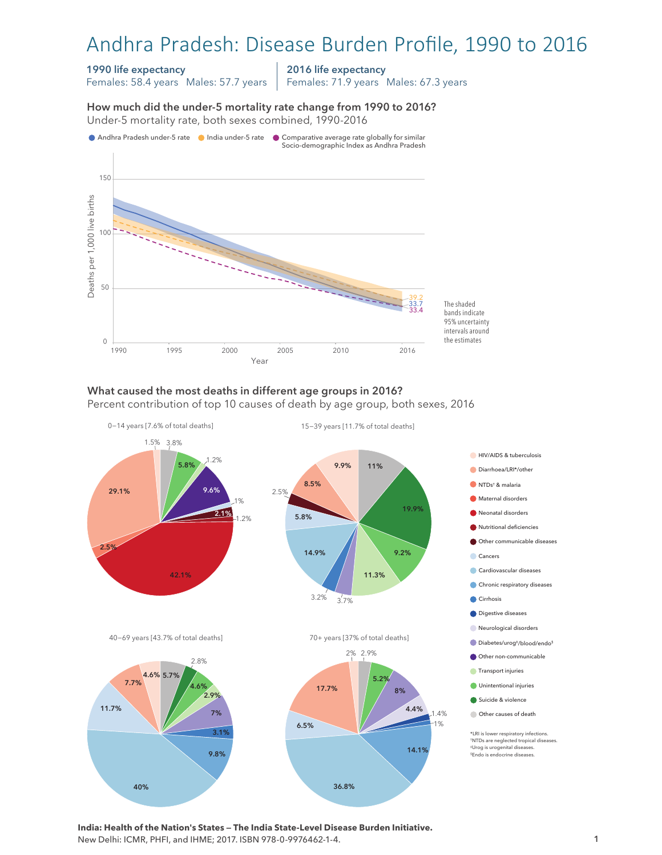# Andhra Pradesh: Disease Burden Profile, 1990 to 2016

#### 1990 life expectancy

Females: 58.4 years Males: 57.7 years

2016 life expectancy

Females: 71.9 years Males: 67.3 years

How much did the under-5 mortality rate change from 1990 to 2016? How much did the under-5 mortality rate change from 1990 to 2016? Under-5 mortality rate, both sexes combined, 1990-2016 Under-5 mortality rate, both sexes combined, 1990-2016



## What caused the most deaths in different age groups in 2016?

Percent contribution of top 10 causes of death by age group, both sexes, 2016



**India: Health of the Nation's States — The India State-Level Disease Burden Initiative.**  New Delhi: ICMR, PHFI, and IHME; 2017. ISBN 978-0-9976462-1-4.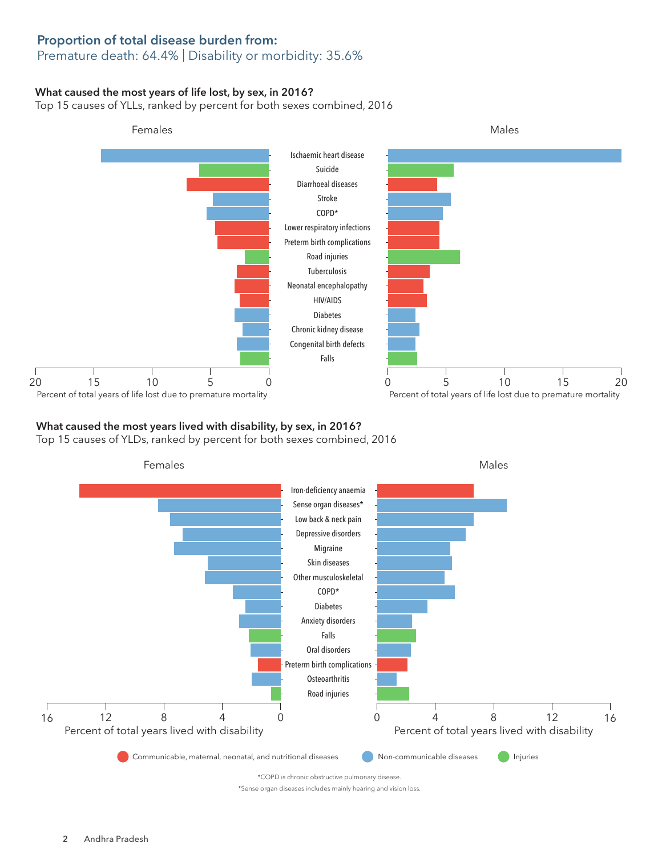## Proportion of total disease burden from:

### Premature death: 64.4% | Disability or morbidity: 35.6%

#### What caused the most years of life lost, by sex, in 2016?

Top 15 causes of YLLs, ranked by percent for both sexes combined, 2016



#### What caused the most years lived with disability, by sex, in 2016?

Top 15 causes of YLDs, ranked by percent for both sexes combined, 2016



\*Sense organ diseases includes mainly hearing and vision loss.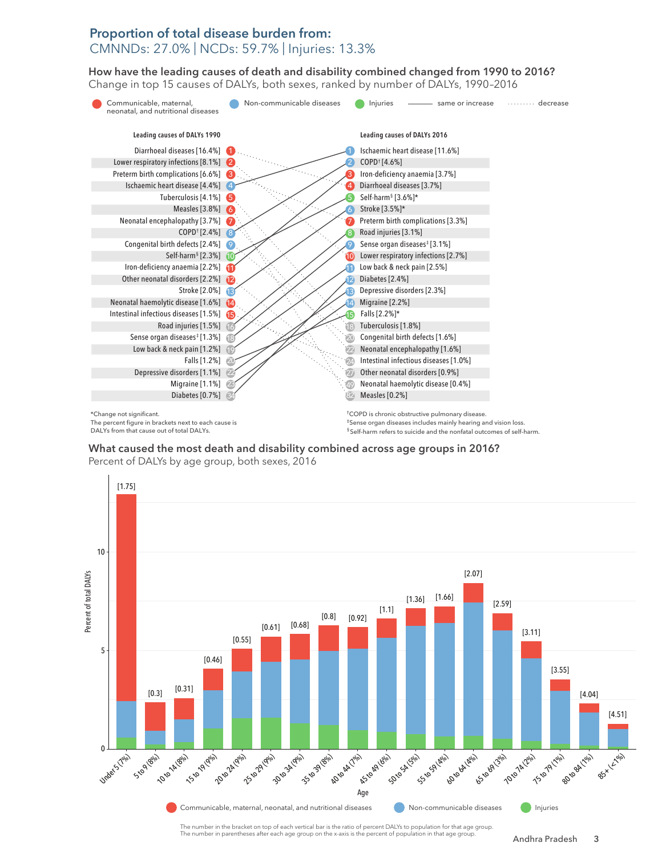### Proportion of total disease burden from: CMNNDs: 27.0% | NCDs: 59.7% | Injuries: 13.3%

How have the leading causes of death and disability combined changed from 1990 to 2016? How have the leading causes of death and disability combined changed from 1990 to 2016? Change in top 15 causes of DALYs, both sexes, ranked by number of DALYs, 1990–2016 Change in top 15 causes of DALYs, both sexes, ranked by number of DALYs, 1990–2016



The percent figure in brackets next to each cause is DALYs from that cause out of total DALYs.

‡Sense organ diseases includes mainly hearing and vision loss. § Self-harm refers to suicide and the nonfatal outcomes of self-harm.

What caused the most death and disability combined across age groups in 2016? Percent of DALYs by age group, both sexes, 2016



The number in the bracket on top of each vertical bar is the ratio of percent DALYs to population for that age group. The number in parentheses after each age group on the x-axis is the percent of population in that age group.